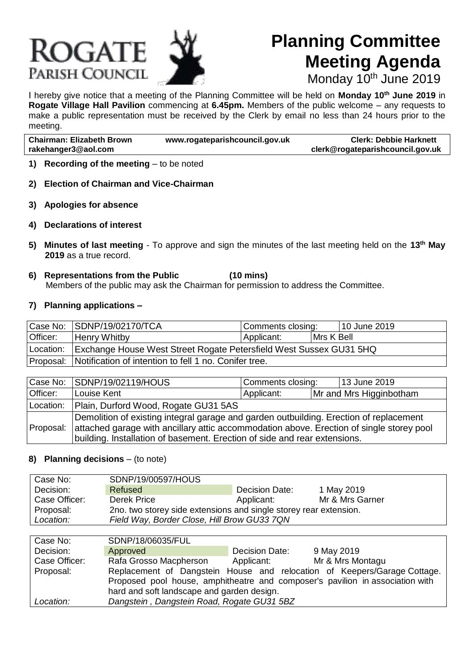# **ROGATE** PARISH COUNCIL



# **Planning Committee Meeting Agenda**

Monday 10<sup>th</sup> June 2019

I hereby give notice that a meeting of the Planning Committee will be held on **Monday 10th June 2019** in **Rogate Village Hall Pavilion** commencing at **6.45pm.** Members of the public welcome – any requests to make a public representation must be received by the Clerk by email no less than 24 hours prior to the meeting.

| <b>Chairman: Elizabeth Brown</b> | www.rogateparishcouncil.gov.uk | <b>Clerk: Debbie Harknett</b>    |
|----------------------------------|--------------------------------|----------------------------------|
| rakehanger3@aol.com              |                                | clerk@rogateparishcouncil.gov.uk |
|                                  |                                |                                  |

- **1) Recording of the meeting** to be noted
- **2) Election of Chairman and Vice-Chairman**
- **3) Apologies for absence**
- **4) Declarations of interest**
- **5) Minutes of last meeting**  To approve and sign the minutes of the last meeting held on the **13th May 2019** as a true record.
- **6) Representations from the Public (10 mins)** Members of the public may ask the Chairman for permission to address the Committee.

#### **7) Planning applications –**

|           | Case No: SDNP/19/02170/TCA                                         | Comments closing: |            | 10 June 2019 |
|-----------|--------------------------------------------------------------------|-------------------|------------|--------------|
| Officer:  | <b>Henry Whitby</b>                                                | Applicant:        | Mrs K Bell |              |
| Location: | Exchange House West Street Rogate Petersfield West Sussex GU31 5HQ |                   |            |              |
|           | Proposal: Notification of intention to fell 1 no. Conifer tree.    |                   |            |              |

|           | Case No: SDNP/19/02119/HOUS                                                                                                                                                                                                                                     | Comments closing: |  | 13 June 2019            |
|-----------|-----------------------------------------------------------------------------------------------------------------------------------------------------------------------------------------------------------------------------------------------------------------|-------------------|--|-------------------------|
| Officer:  | Louise Kent                                                                                                                                                                                                                                                     | Applicant:        |  | Mr and Mrs Higginbotham |
| Location: | Plain, Durford Wood, Rogate GU31 5AS                                                                                                                                                                                                                            |                   |  |                         |
| Proposal: | Demolition of existing integral garage and garden outbuilding. Erection of replacement<br>attached garage with ancillary attic accommodation above. Erection of single storey pool<br>building. Installation of basement. Erection of side and rear extensions. |                   |  |                         |

### **8) Planning decisions** – (to note)

| Case No:      | SDNP/19/00597/HOUS                                                |                |                 |  |
|---------------|-------------------------------------------------------------------|----------------|-----------------|--|
| Decision:     | Refused                                                           | Decision Date: | 1 May 2019      |  |
| Case Officer: | Derek Price                                                       | Applicant:     | Mr & Mrs Garner |  |
| Proposal:     | 2no. two storey side extensions and single storey rear extension. |                |                 |  |
| Location:     | Field Way, Border Close, Hill Brow GU33 7QN                       |                |                 |  |

| Case No:      | SDNP/18/06035/FUL                                                             |                |                                                                          |  |
|---------------|-------------------------------------------------------------------------------|----------------|--------------------------------------------------------------------------|--|
| Decision:     | Approved                                                                      | Decision Date: | 9 May 2019                                                               |  |
| Case Officer: | Rafa Grosso Macpherson                                                        | Applicant:     | Mr & Mrs Montagu                                                         |  |
| Proposal:     |                                                                               |                | Replacement of Dangstein House and relocation of Keepers/Garage Cottage. |  |
|               | Proposed pool house, amphitheatre and composer's pavilion in association with |                |                                                                          |  |
|               | hard and soft landscape and garden design.                                    |                |                                                                          |  |
| Location:     | Dangstein, Dangstein Road, Rogate GU31 5BZ                                    |                |                                                                          |  |